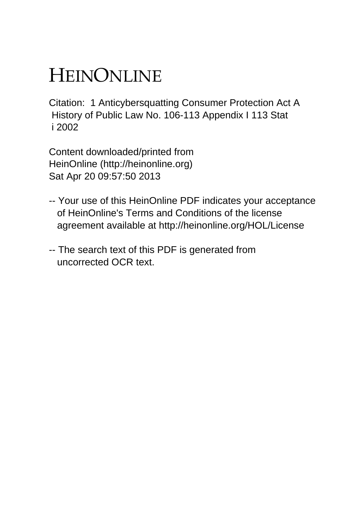# HEINONLINE

Citation: 1 Anticybersquatting Consumer Protection Act A History of Public Law No. 106-113 Appendix I 113 Stat i 2002

Content downloaded/printed from HeinOnline (http://heinonline.org) Sat Apr 20 09:57:50 2013

- -- Your use of this HeinOnline PDF indicates your acceptance of HeinOnline's Terms and Conditions of the license agreement available at http://heinonline.org/HOL/License
- -- The search text of this PDF is generated from uncorrected OCR text.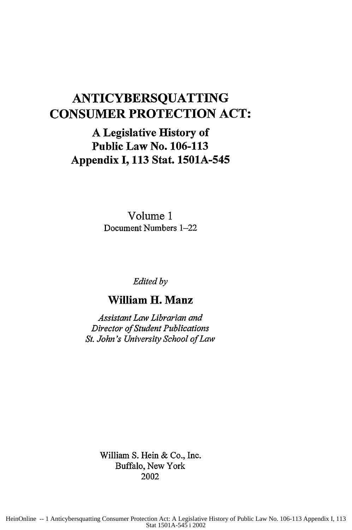## **ANTICYBERSQUATTING CONSUMER PROTECTION ACT:**

## **A Legislative History of Public Law No. 106-113 Appendix I, 113 Stat. 1501A-545**

Volume **1** Document Numbers 1-22

*Edited by*

## **William H. Manz**

*Assistant Law Librarian and Director of Student Publications St. John's University School of Law*

> William **S. Hein &** Co., Inc. Buffalo, New York 2002